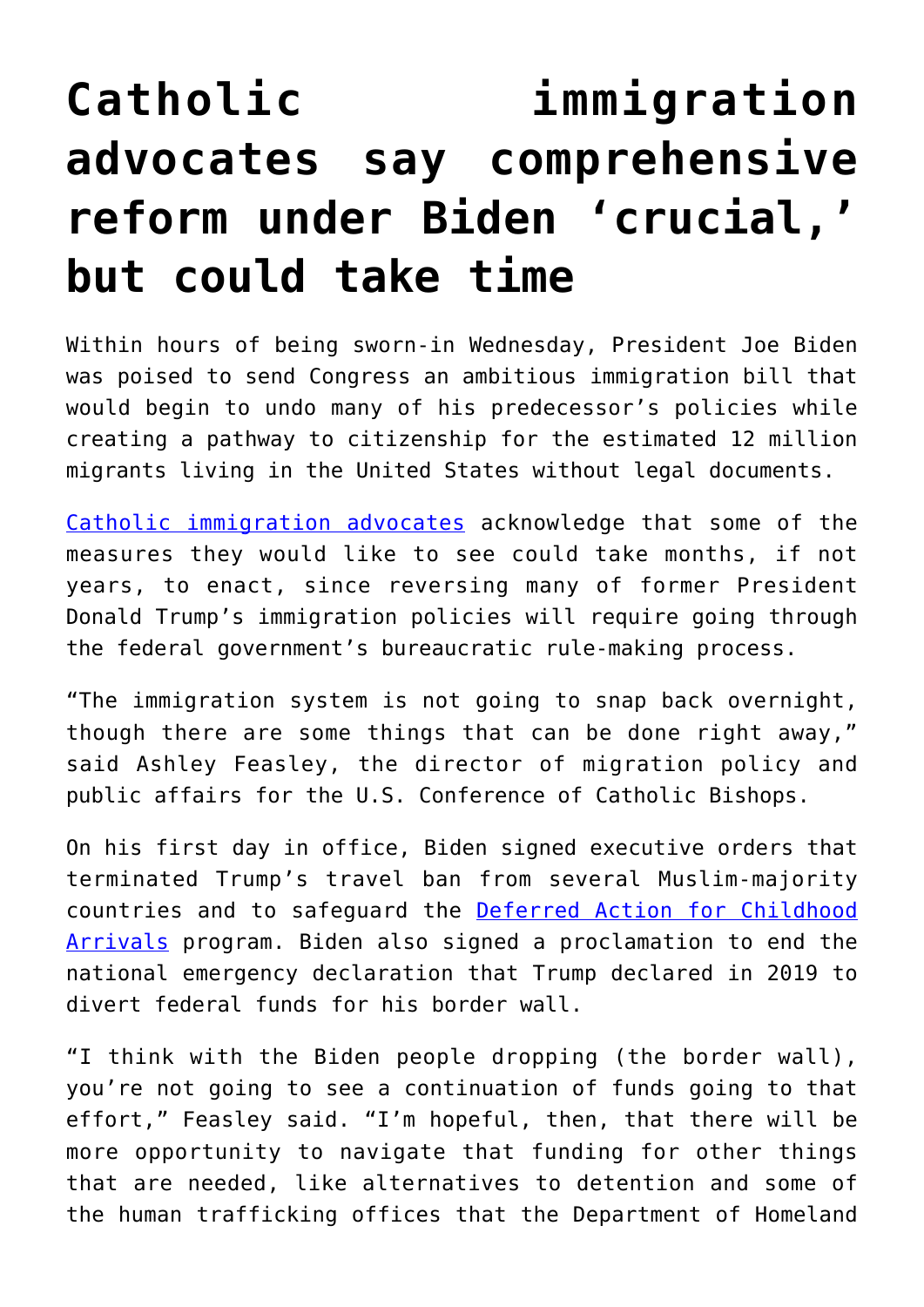## **[Catholic immigration](https://www.osvnews.com/2021/01/21/catholic-immigration-advocates-say-comprehensive-reform-under-biden-crucial-but-could-take-time/) [advocates say comprehensive](https://www.osvnews.com/2021/01/21/catholic-immigration-advocates-say-comprehensive-reform-under-biden-crucial-but-could-take-time/) [reform under Biden 'crucial,'](https://www.osvnews.com/2021/01/21/catholic-immigration-advocates-say-comprehensive-reform-under-biden-crucial-but-could-take-time/) [but could take time](https://www.osvnews.com/2021/01/21/catholic-immigration-advocates-say-comprehensive-reform-under-biden-crucial-but-could-take-time/)**

Within hours of being sworn-in Wednesday, President Joe Biden was poised to send Congress an ambitious immigration bill that would begin to undo many of his predecessor's policies while creating a pathway to citizenship for the estimated 12 million migrants living in the United States without legal documents.

[Catholic immigration advocates](https://osvnews.com/2019/06/09/a-catholic-approach-to-immigration/) acknowledge that some of the measures they would like to see could take months, if not years, to enact, since reversing many of former President Donald Trump's immigration policies will require going through the federal government's bureaucratic rule-making process.

"The immigration system is not going to snap back overnight, though there are some things that can be done right away," said Ashley Feasley, the director of migration policy and public affairs for the U.S. Conference of Catholic Bishops.

On his first day in office, Biden signed executive orders that terminated Trump's travel ban from several Muslim-majority countries and to safeguard the [Deferred Action for Childhood](https://osvnews.com/2020/12/07/federal-judge-orders-full-restoration-of-daca-program/) [Arrivals](https://osvnews.com/2020/12/07/federal-judge-orders-full-restoration-of-daca-program/) program. Biden also signed a proclamation to end the national emergency declaration that Trump declared in 2019 to divert federal funds for his border wall.

"I think with the Biden people dropping (the border wall), you're not going to see a continuation of funds going to that effort," Feasley said. "I'm hopeful, then, that there will be more opportunity to navigate that funding for other things that are needed, like alternatives to detention and some of the human trafficking offices that the Department of Homeland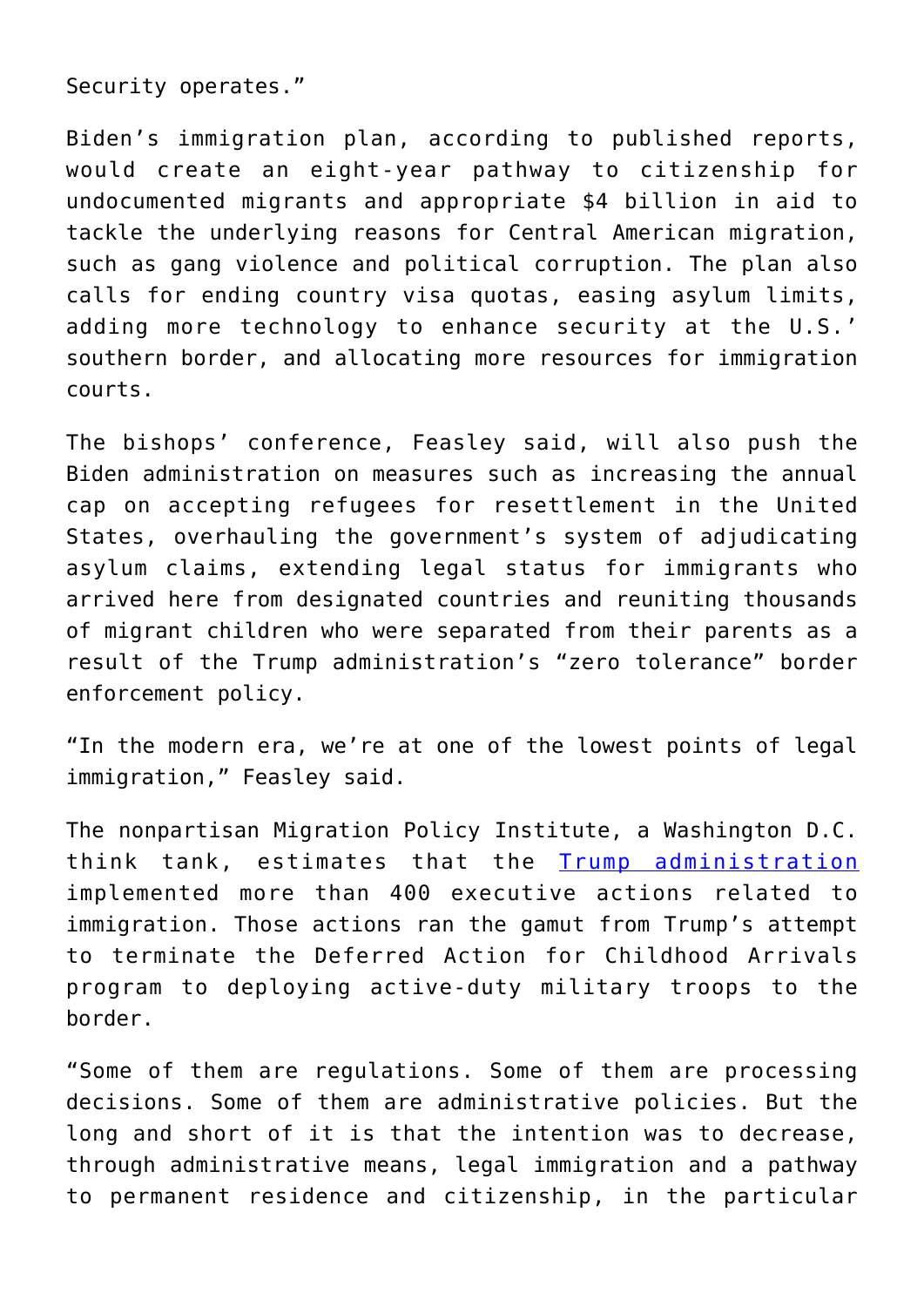Security operates."

Biden's immigration plan, according to published reports, would create an eight-year pathway to citizenship for undocumented migrants and appropriate \$4 billion in aid to tackle the underlying reasons for Central American migration, such as gang violence and political corruption. The plan also calls for ending country visa quotas, easing asylum limits, adding more technology to enhance security at the U.S.' southern border, and allocating more resources for immigration courts.

The bishops' conference, Feasley said, will also push the Biden administration on measures such as increasing the annual cap on accepting refugees for resettlement in the United States, overhauling the government's system of adjudicating asylum claims, extending legal status for immigrants who arrived here from designated countries and reuniting thousands of migrant children who were separated from their parents as a result of the Trump administration's "zero tolerance" border enforcement policy.

"In the modern era, we're at one of the lowest points of legal immigration," Feasley said.

The nonpartisan Migration Policy Institute, a Washington D.C. think tank, estimates that the [Trump administration](https://osvnews.com/2019/05/20/immigration-advocates-express-concerns-about-trump-immigration-plan/) implemented more than 400 executive actions related to immigration. Those actions ran the gamut from Trump's attempt to terminate the Deferred Action for Childhood Arrivals program to deploying active-duty military troops to the border.

"Some of them are regulations. Some of them are processing decisions. Some of them are administrative policies. But the long and short of it is that the intention was to decrease, through administrative means, legal immigration and a pathway to permanent residence and citizenship, in the particular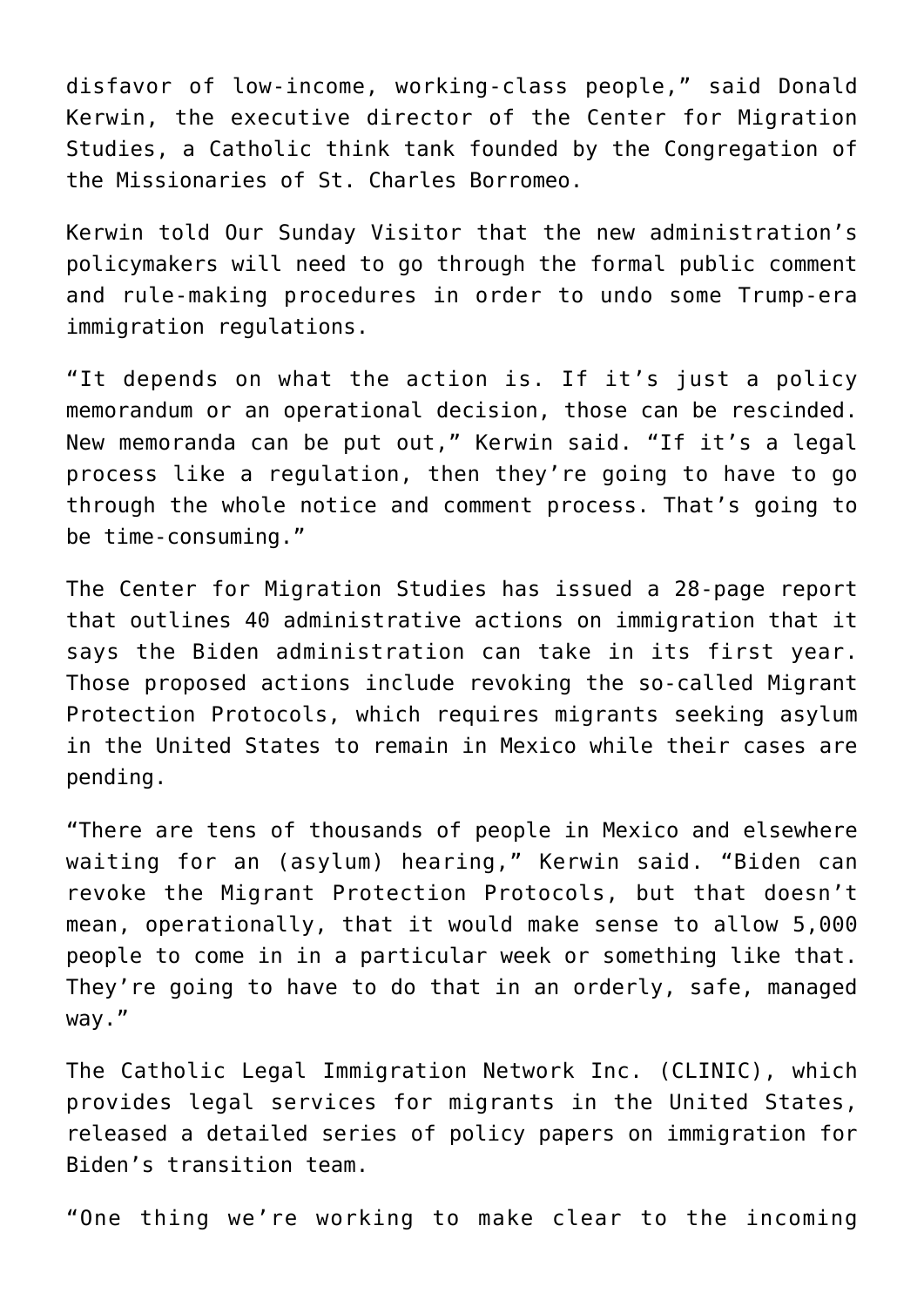disfavor of low-income, working-class people," said Donald Kerwin, the executive director of the Center for Migration Studies, a Catholic think tank founded by the Congregation of the Missionaries of St. Charles Borromeo.

Kerwin told Our Sunday Visitor that the new administration's policymakers will need to go through the formal public comment and rule-making procedures in order to undo some Trump-era immigration regulations.

"It depends on what the action is. If it's just a policy memorandum or an operational decision, those can be rescinded. New memoranda can be put out," Kerwin said. "If it's a legal process like a regulation, then they're going to have to go through the whole notice and comment process. That's going to be time-consuming."

The Center for Migration Studies has issued a 28-page report that outlines 40 administrative actions on immigration that it says the Biden administration can take in its first year. Those proposed actions include revoking the so-called Migrant Protection Protocols, which requires migrants seeking asylum in the United States to remain in Mexico while their cases are pending.

"There are tens of thousands of people in Mexico and elsewhere waiting for an (asylum) hearing," Kerwin said. "Biden can revoke the Migrant Protection Protocols, but that doesn't mean, operationally, that it would make sense to allow 5,000 people to come in in a particular week or something like that. They're going to have to do that in an orderly, safe, managed way."

The Catholic Legal Immigration Network Inc. (CLINIC), which provides legal services for migrants in the United States, released a detailed series of policy papers on immigration for Biden's transition team.

"One thing we're working to make clear to the incoming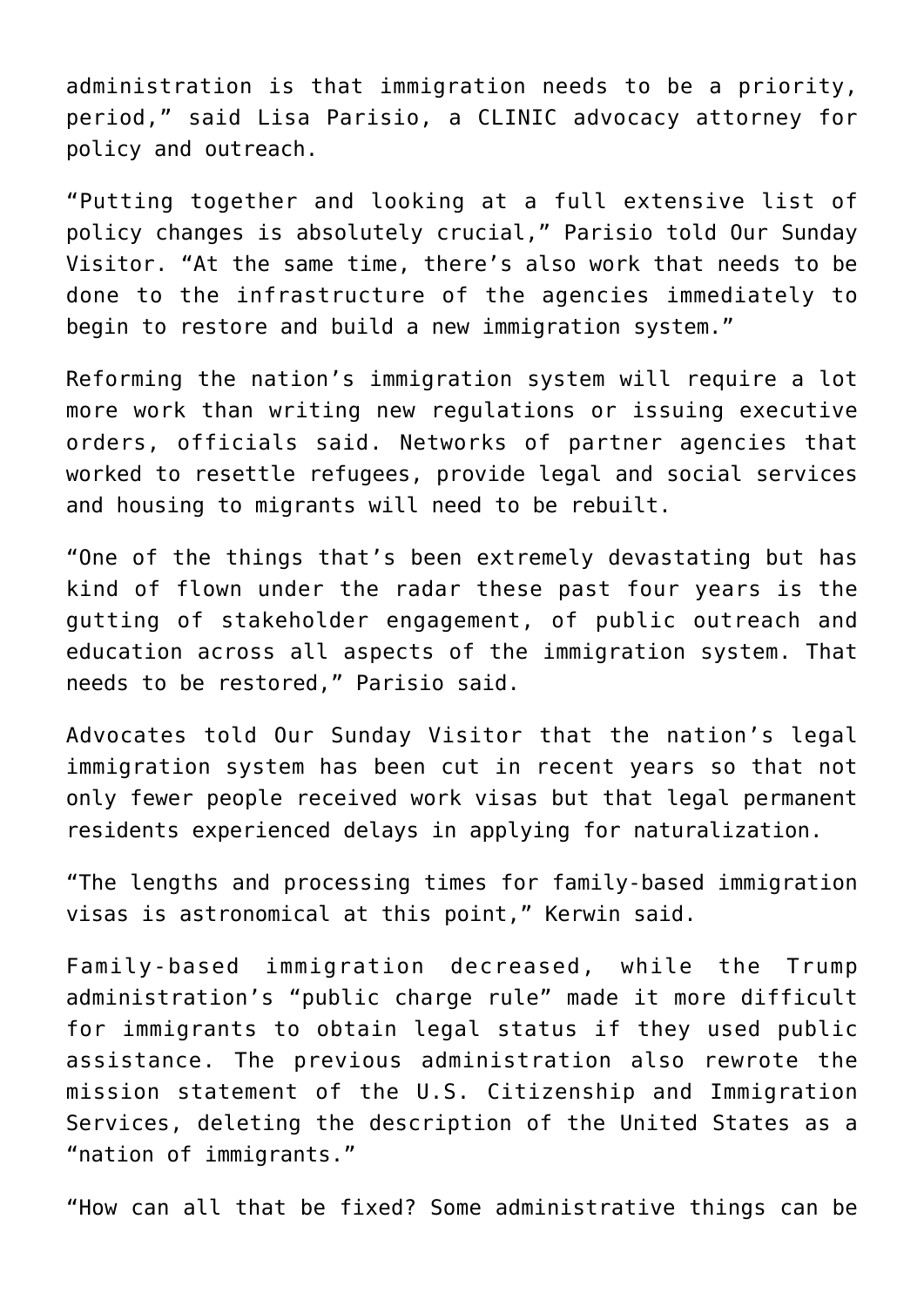administration is that immigration needs to be a priority, period," said Lisa Parisio, a CLINIC advocacy attorney for policy and outreach.

"Putting together and looking at a full extensive list of policy changes is absolutely crucial," Parisio told Our Sunday Visitor. "At the same time, there's also work that needs to be done to the infrastructure of the agencies immediately to begin to restore and build a new immigration system."

Reforming the nation's immigration system will require a lot more work than writing new regulations or issuing executive orders, officials said. Networks of partner agencies that worked to resettle refugees, provide legal and social services and housing to migrants will need to be rebuilt.

"One of the things that's been extremely devastating but has kind of flown under the radar these past four years is the gutting of stakeholder engagement, of public outreach and education across all aspects of the immigration system. That needs to be restored," Parisio said.

Advocates told Our Sunday Visitor that the nation's legal immigration system has been cut in recent years so that not only fewer people received work visas but that legal permanent residents experienced delays in applying for naturalization.

"The lengths and processing times for family-based immigration visas is astronomical at this point," Kerwin said.

Family-based immigration decreased, while the Trump administration's "public charge rule" made it more difficult for immigrants to obtain legal status if they used public assistance. The previous administration also rewrote the mission statement of the U.S. Citizenship and Immigration Services, deleting the description of the United States as a "nation of immigrants."

"How can all that be fixed? Some administrative things can be